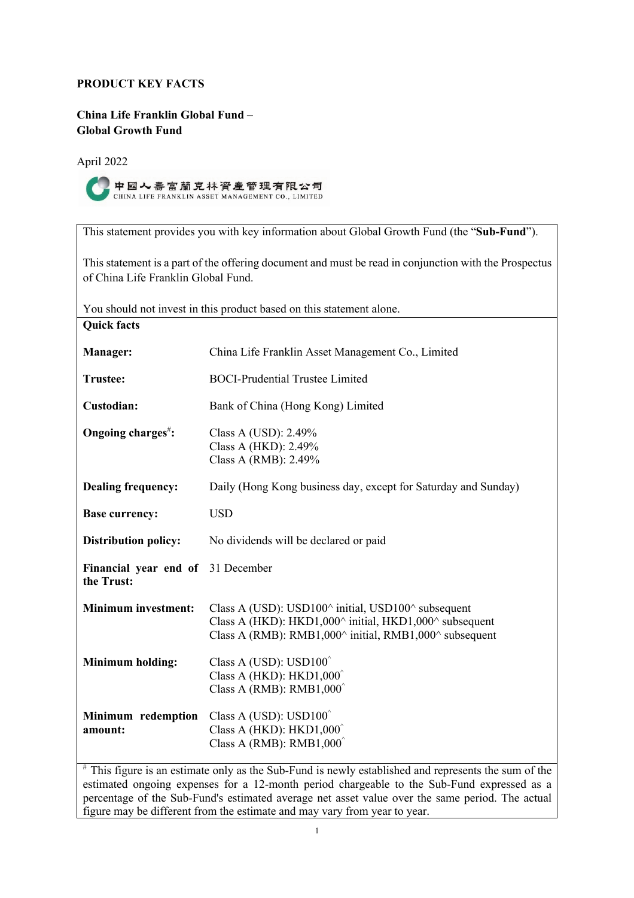# **PRODUCT KEY FACTS**

**China Life Franklin Global Fund – Global Growth Fund** 

April 2022



This statement provides you with key information about Global Growth Fund (the "**Sub-Fund**").

This statement is a part of the offering document and must be read in conjunction with the Prospectus of China Life Franklin Global Fund.

| You should not invest in this product based on this statement alone. |                                                                                                                                                                                                                                  |  |
|----------------------------------------------------------------------|----------------------------------------------------------------------------------------------------------------------------------------------------------------------------------------------------------------------------------|--|
| <b>Quick facts</b>                                                   |                                                                                                                                                                                                                                  |  |
| Manager:                                                             | China Life Franklin Asset Management Co., Limited                                                                                                                                                                                |  |
| <b>Trustee:</b>                                                      | <b>BOCI-Prudential Trustee Limited</b>                                                                                                                                                                                           |  |
| Custodian:                                                           | Bank of China (Hong Kong) Limited                                                                                                                                                                                                |  |
| Ongoing charges <sup>#</sup> :                                       | Class A (USD): 2.49%<br>Class A (HKD): 2.49%<br>Class A (RMB): 2.49%                                                                                                                                                             |  |
| <b>Dealing frequency:</b>                                            | Daily (Hong Kong business day, except for Saturday and Sunday)                                                                                                                                                                   |  |
| <b>Base currency:</b>                                                | <b>USD</b>                                                                                                                                                                                                                       |  |
| <b>Distribution policy:</b>                                          | No dividends will be declared or paid                                                                                                                                                                                            |  |
| Financial year end of 31 December<br>the Trust:                      |                                                                                                                                                                                                                                  |  |
| <b>Minimum investment:</b>                                           | Class A (USD): USD100 $\land$ initial, USD100 $\land$ subsequent<br>Class A (HKD): HKD1,000 $\land$ initial, HKD1,000 $\land$ subsequent<br>Class A (RMB): RMB1,000 $\land$ initial, RMB1,000 $\land$ subsequent                 |  |
| <b>Minimum holding:</b>                                              | Class A (USD): USD100 <sup>^</sup><br>Class A (HKD): $HKD1,000^{\circ}$<br>Class A (RMB): $RMB1,000^{\degree}$                                                                                                                   |  |
| Minimum redemption<br>amount:<br>$#$ TL: $\mathcal{L}$               | Class A (USD): $USD100^{\circ}$<br>Class A (HKD): $HKD1,000^{\circ}$<br>Class A (RMB): RMB $1,000^{\circ}$<br>extinct to pulse and the Cult Front in a control contribution of and an<br>المحارب والكاريدية<br>$\sim$ C $\pm$ 1. |  |

This figure is an estimate only as the Sub-Fund is newly established and represents the sum of the estimated ongoing expenses for a 12-month period chargeable to the Sub-Fund expressed as a percentage of the Sub-Fund's estimated average net asset value over the same period. The actual figure may be different from the estimate and may vary from year to year.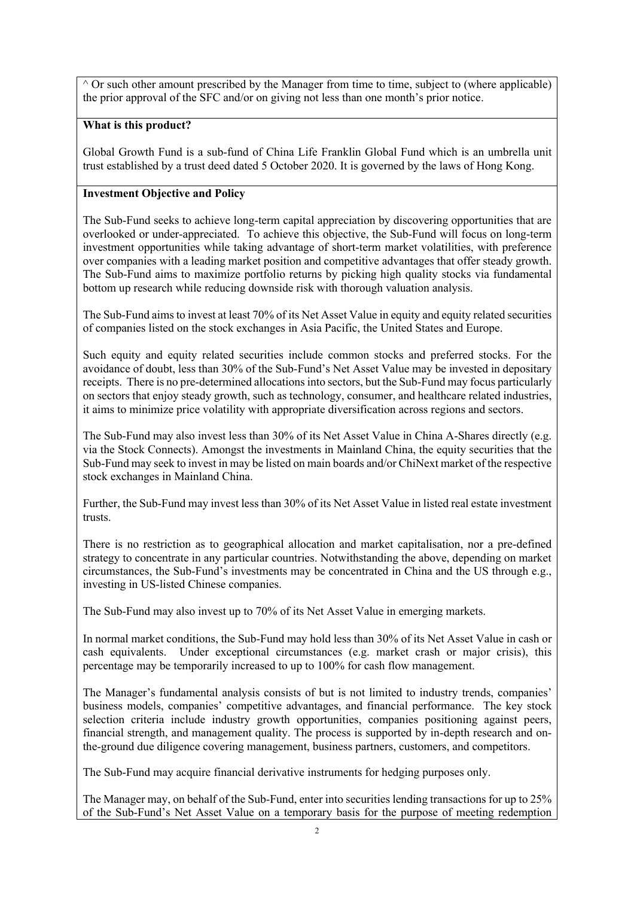$\wedge$  Or such other amount prescribed by the Manager from time to time, subject to (where applicable) the prior approval of the SFC and/or on giving not less than one month's prior notice.

# **What is this product?**

Global Growth Fund is a sub-fund of China Life Franklin Global Fund which is an umbrella unit trust established by a trust deed dated 5 October 2020. It is governed by the laws of Hong Kong.

# **Investment Objective and Policy**

The Sub-Fund seeks to achieve long-term capital appreciation by discovering opportunities that are overlooked or under-appreciated. To achieve this objective, the Sub-Fund will focus on long-term investment opportunities while taking advantage of short-term market volatilities, with preference over companies with a leading market position and competitive advantages that offer steady growth. The Sub-Fund aims to maximize portfolio returns by picking high quality stocks via fundamental bottom up research while reducing downside risk with thorough valuation analysis.

The Sub-Fund aims to invest at least 70% of its Net Asset Value in equity and equity related securities of companies listed on the stock exchanges in Asia Pacific, the United States and Europe.

Such equity and equity related securities include common stocks and preferred stocks. For the avoidance of doubt, less than 30% of the Sub-Fund's Net Asset Value may be invested in depositary receipts. There is no pre-determined allocations into sectors, but the Sub-Fund may focus particularly on sectors that enjoy steady growth, such as technology, consumer, and healthcare related industries, it aims to minimize price volatility with appropriate diversification across regions and sectors.

The Sub-Fund may also invest less than 30% of its Net Asset Value in China A-Shares directly (e.g. via the Stock Connects). Amongst the investments in Mainland China, the equity securities that the Sub-Fund may seek to invest in may be listed on main boards and/or ChiNext market of the respective stock exchanges in Mainland China.

Further, the Sub-Fund may invest less than 30% of its Net Asset Value in listed real estate investment trusts.

There is no restriction as to geographical allocation and market capitalisation, nor a pre-defined strategy to concentrate in any particular countries. Notwithstanding the above, depending on market circumstances, the Sub-Fund's investments may be concentrated in China and the US through e.g., investing in US-listed Chinese companies.

The Sub-Fund may also invest up to 70% of its Net Asset Value in emerging markets.

In normal market conditions, the Sub-Fund may hold less than 30% of its Net Asset Value in cash or cash equivalents. Under exceptional circumstances (e.g. market crash or major crisis), this percentage may be temporarily increased to up to 100% for cash flow management.

The Manager's fundamental analysis consists of but is not limited to industry trends, companies' business models, companies' competitive advantages, and financial performance. The key stock selection criteria include industry growth opportunities, companies positioning against peers, financial strength, and management quality. The process is supported by in-depth research and onthe-ground due diligence covering management, business partners, customers, and competitors.

The Sub-Fund may acquire financial derivative instruments for hedging purposes only.

The Manager may, on behalf of the Sub-Fund, enter into securities lending transactions for up to 25% of the Sub-Fund's Net Asset Value on a temporary basis for the purpose of meeting redemption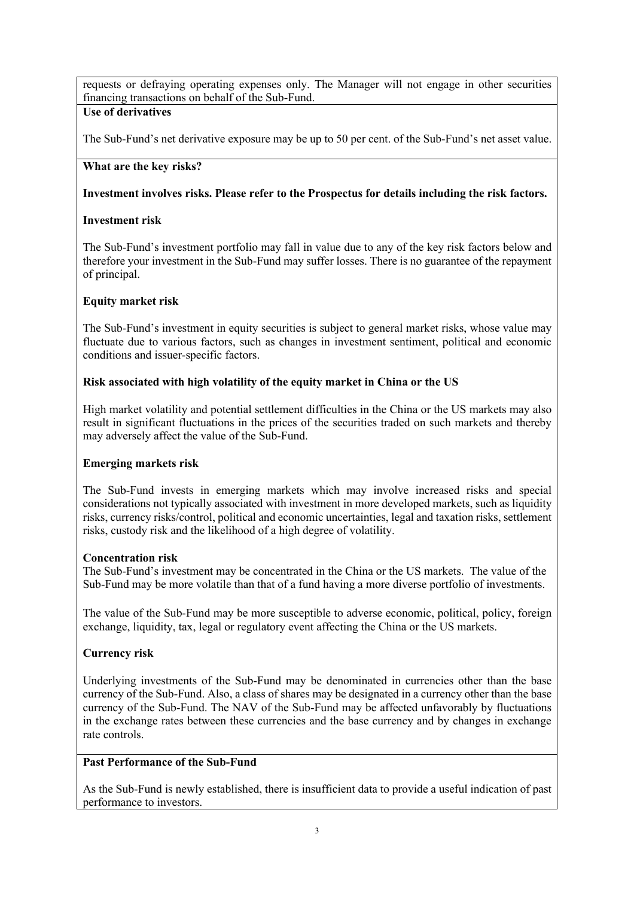requests or defraying operating expenses only. The Manager will not engage in other securities financing transactions on behalf of the Sub-Fund.

# **Use of derivatives**

The Sub-Fund's net derivative exposure may be up to 50 per cent. of the Sub-Fund's net asset value.

### **What are the key risks?**

## **Investment involves risks. Please refer to the Prospectus for details including the risk factors.**

## **Investment risk**

The Sub-Fund's investment portfolio may fall in value due to any of the key risk factors below and therefore your investment in the Sub-Fund may suffer losses. There is no guarantee of the repayment of principal.

### **Equity market risk**

The Sub-Fund's investment in equity securities is subject to general market risks, whose value may fluctuate due to various factors, such as changes in investment sentiment, political and economic conditions and issuer-specific factors.

### **Risk associated with high volatility of the equity market in China or the US**

High market volatility and potential settlement difficulties in the China or the US markets may also result in significant fluctuations in the prices of the securities traded on such markets and thereby may adversely affect the value of the Sub-Fund.

#### **Emerging markets risk**

The Sub-Fund invests in emerging markets which may involve increased risks and special considerations not typically associated with investment in more developed markets, such as liquidity risks, currency risks/control, political and economic uncertainties, legal and taxation risks, settlement risks, custody risk and the likelihood of a high degree of volatility.

#### **Concentration risk**

The Sub-Fund's investment may be concentrated in the China or the US markets. The value of the Sub-Fund may be more volatile than that of a fund having a more diverse portfolio of investments.

The value of the Sub-Fund may be more susceptible to adverse economic, political, policy, foreign exchange, liquidity, tax, legal or regulatory event affecting the China or the US markets.

# **Currency risk**

Underlying investments of the Sub-Fund may be denominated in currencies other than the base currency of the Sub-Fund. Also, a class of shares may be designated in a currency other than the base currency of the Sub-Fund. The NAV of the Sub-Fund may be affected unfavorably by fluctuations in the exchange rates between these currencies and the base currency and by changes in exchange rate controls.

# **Past Performance of the Sub-Fund**

As the Sub-Fund is newly established, there is insufficient data to provide a useful indication of past performance to investors.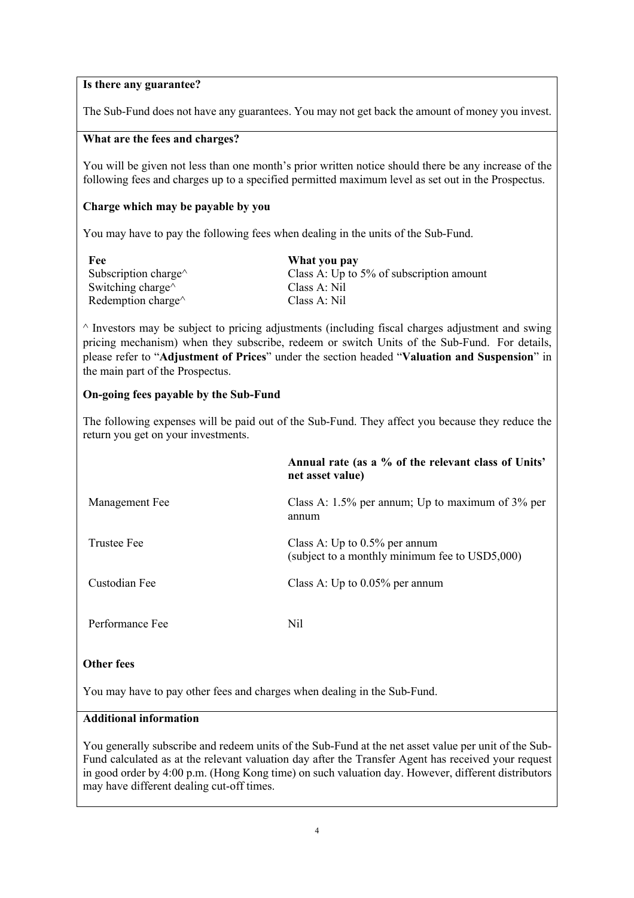#### **Is there any guarantee?**

The Sub-Fund does not have any guarantees. You may not get back the amount of money you invest.

### **What are the fees and charges?**

You will be given not less than one month's prior written notice should there be any increase of the following fees and charges up to a specified permitted maximum level as set out in the Prospectus.

## **Charge which may be payable by you**

You may have to pay the following fees when dealing in the units of the Sub-Fund.

| Fee                          | What you pay                             |
|------------------------------|------------------------------------------|
| Subscription charge $\wedge$ | Class A: Up to 5% of subscription amount |
| Switching charge $\wedge$    | Class A: Nil                             |
| Redemption charge $\wedge$   | Class A: Nil                             |

 $\land$  Investors may be subject to pricing adjustments (including fiscal charges adjustment and swing pricing mechanism) when they subscribe, redeem or switch Units of the Sub-Fund. For details, please refer to "**Adjustment of Prices**" under the section headed "**Valuation and Suspension**" in the main part of the Prospectus.

### **On-going fees payable by the Sub-Fund**

The following expenses will be paid out of the Sub-Fund. They affect you because they reduce the return you get on your investments.

|                 | Annual rate (as a % of the relevant class of Units'<br>net asset value)            |
|-----------------|------------------------------------------------------------------------------------|
| Management Fee  | Class A: $1.5\%$ per annum; Up to maximum of $3\%$ per<br>annum                    |
| Trustee Fee     | Class A: Up to $0.5\%$ per annum<br>(subject to a monthly minimum fee to USD5,000) |
| Custodian Fee   | Class A: Up to $0.05\%$ per annum                                                  |
| Performance Fee | Nil                                                                                |

#### **Other fees**

You may have to pay other fees and charges when dealing in the Sub-Fund.

# **Additional information**

You generally subscribe and redeem units of the Sub-Fund at the net asset value per unit of the Sub-Fund calculated as at the relevant valuation day after the Transfer Agent has received your request in good order by 4:00 p.m. (Hong Kong time) on such valuation day. However, different distributors may have different dealing cut-off times.